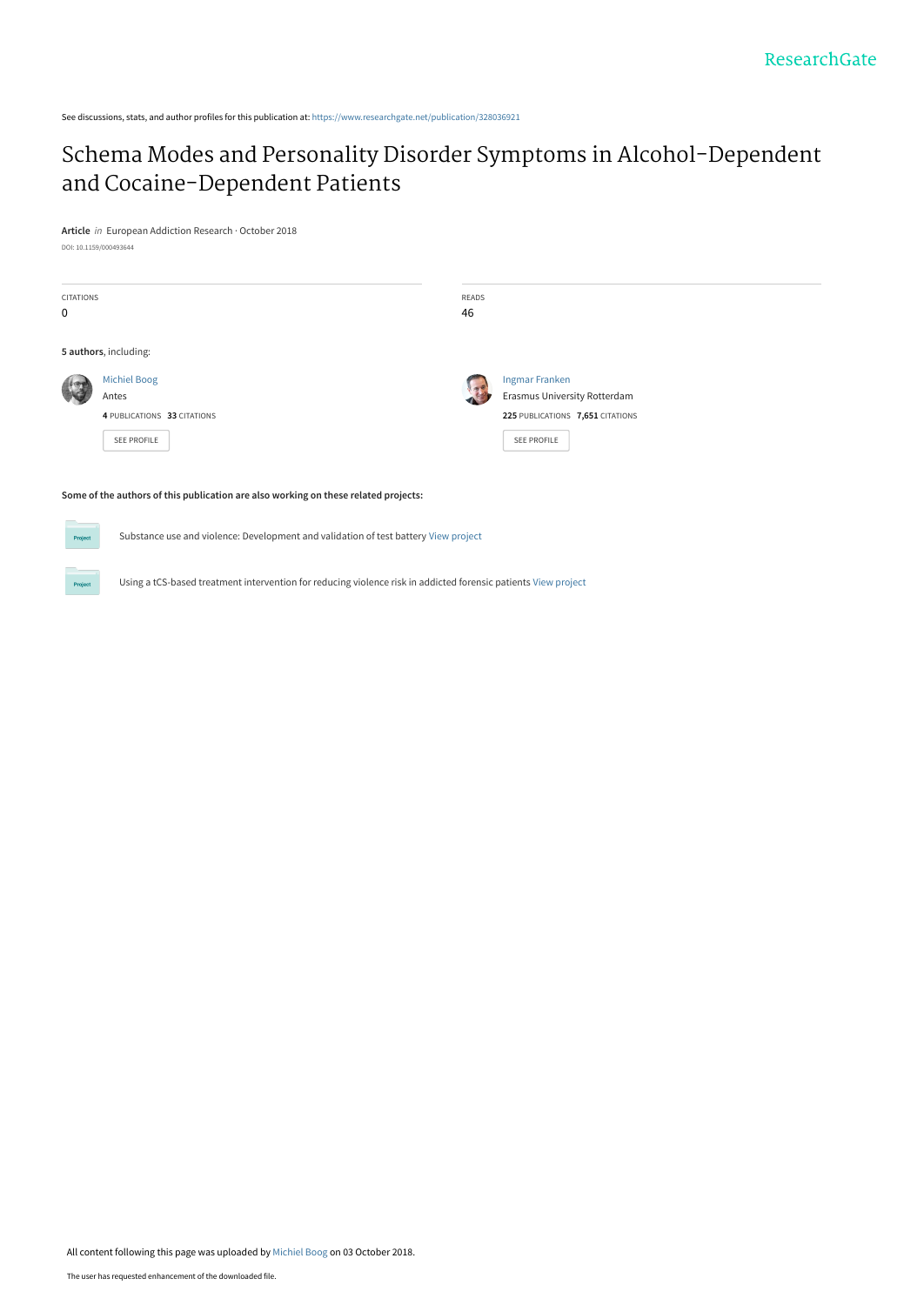See discussions, stats, and author profiles for this publication at: [https://www.researchgate.net/publication/328036921](https://www.researchgate.net/publication/328036921_Schema_Modes_and_Personality_Disorder_Symptoms_in_Alcohol-Dependent_and_Cocaine-Dependent_Patients?enrichId=rgreq-8c2147f0d3ba3424681e2c4182d9b417-XXX&enrichSource=Y292ZXJQYWdlOzMyODAzNjkyMTtBUzo2Nzc3MjA1MzkyNzExNjhAMTUzODU5MjU3NjA4NQ%3D%3D&el=1_x_2&_esc=publicationCoverPdf)

# [Schema Modes and Personality Disorder Symptoms in Alcohol-Dependent](https://www.researchgate.net/publication/328036921_Schema_Modes_and_Personality_Disorder_Symptoms_in_Alcohol-Dependent_and_Cocaine-Dependent_Patients?enrichId=rgreq-8c2147f0d3ba3424681e2c4182d9b417-XXX&enrichSource=Y292ZXJQYWdlOzMyODAzNjkyMTtBUzo2Nzc3MjA1MzkyNzExNjhAMTUzODU5MjU3NjA4NQ%3D%3D&el=1_x_3&_esc=publicationCoverPdf) and Cocaine-Dependent Patients

**Article** in European Addiction Research · October 2018 DOI: 10.1159/000493644

| <b>CITATIONS</b><br>$\mathbf 0$ |                                                                                   | READS<br>46 |                                                                                                          |
|---------------------------------|-----------------------------------------------------------------------------------|-------------|----------------------------------------------------------------------------------------------------------|
|                                 | 5 authors, including:                                                             |             |                                                                                                          |
|                                 | <b>Michiel Boog</b><br>Antes<br>4 PUBLICATIONS 33 CITATIONS<br><b>SEE PROFILE</b> |             | Ingmar Franken<br>Erasmus University Rotterdam<br>225 PUBLICATIONS 7,651 CITATIONS<br><b>SEE PROFILE</b> |

#### **Some of the authors of this publication are also working on these related projects:**

Substance use and violence: Development and validation of test battery [View project](https://www.researchgate.net/project/Substance-use-and-violence-Development-and-validation-of-test-battery?enrichId=rgreq-8c2147f0d3ba3424681e2c4182d9b417-XXX&enrichSource=Y292ZXJQYWdlOzMyODAzNjkyMTtBUzo2Nzc3MjA1MzkyNzExNjhAMTUzODU5MjU3NjA4NQ%3D%3D&el=1_x_9&_esc=publicationCoverPdf)

Using a tCS-based treatment intervention for reducing violence risk in addicted forensic patients [View project](https://www.researchgate.net/project/Using-a-tCS-based-treatment-intervention-for-reducing-violence-risk-in-addicted-forensic-patients?enrichId=rgreq-8c2147f0d3ba3424681e2c4182d9b417-XXX&enrichSource=Y292ZXJQYWdlOzMyODAzNjkyMTtBUzo2Nzc3MjA1MzkyNzExNjhAMTUzODU5MjU3NjA4NQ%3D%3D&el=1_x_9&_esc=publicationCoverPdf)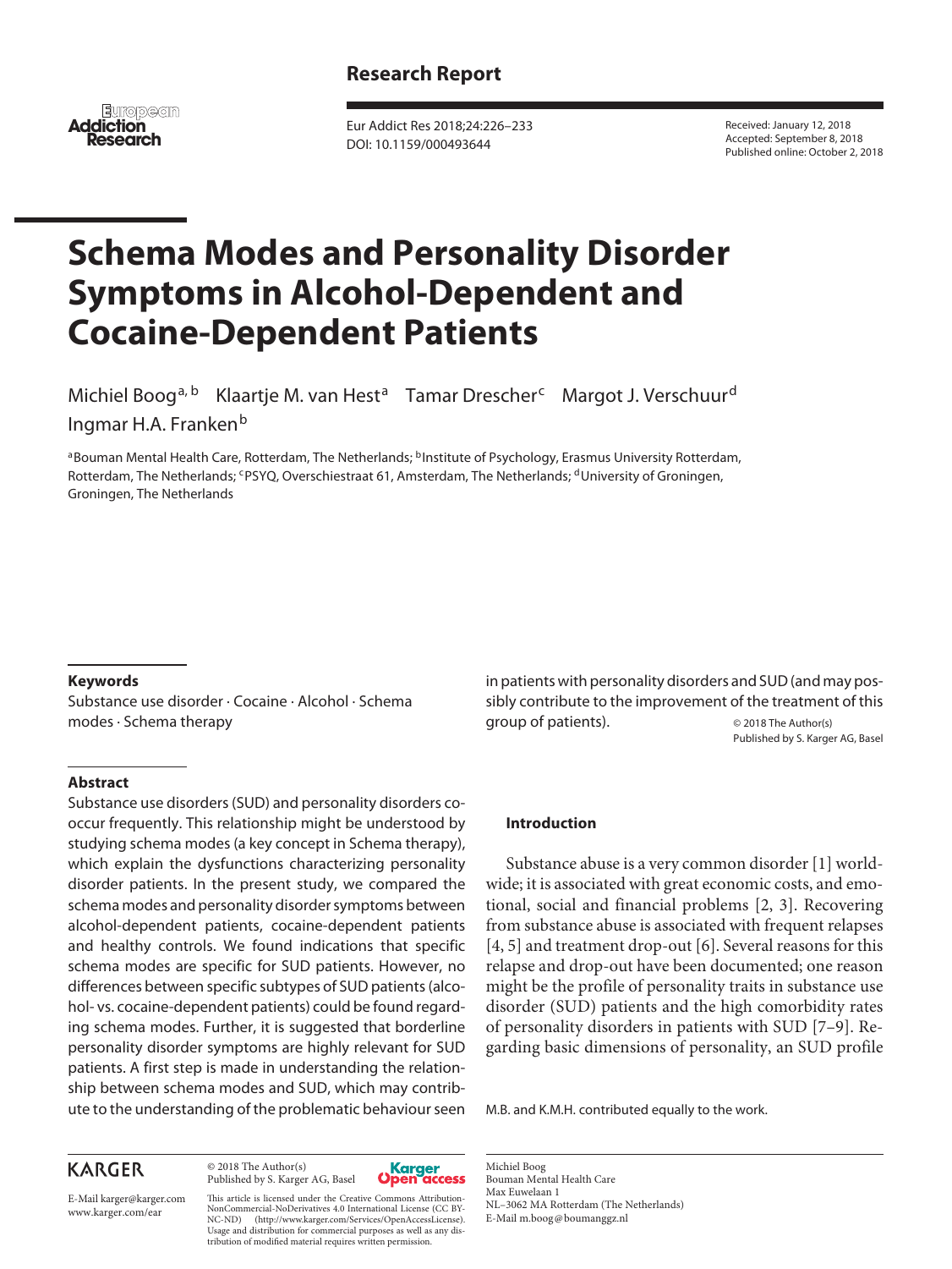# **Research Report**



Eur Addict Res 2018;24:226–233 DOI: 10.1159/000493644

Received: January 12, 2018 Accepted: September 8, 2018 Published online: October 2, 2018

# **Schema Modes and Personality Disorder Symptoms in Alcohol-Dependent and Cocaine-Dependent Patients**

Michiel Boog<sup>a, b</sup> Klaartje M. van Hest<sup>a</sup> Tamar Drescher<sup>c</sup> Margot J. Verschuur<sup>d</sup> Ingmar H.A. Franken<sup>b</sup>

aBouman Mental Health Care, Rotterdam, The Netherlands; <sup>b</sup>Institute of Psychology, Erasmus University Rotterdam, Rotterdam, The Netherlands; <sup>c</sup>PSYQ, Overschiestraat 61, Amsterdam, The Netherlands; <sup>d</sup>University of Groningen, Groningen, The Netherlands

#### **Keywords**

Substance use disorder · Cocaine · Alcohol · Schema modes · Schema therapy

# **Abstract**

Substance use disorders (SUD) and personality disorders cooccur frequently. This relationship might be understood by studying schema modes (a key concept in Schema therapy), which explain the dysfunctions characterizing personality disorder patients. In the present study, we compared the schema modes and personality disorder symptoms between alcohol-dependent patients, cocaine-dependent patients and healthy controls. We found indications that specific schema modes are specific for SUD patients. However, no differences between specific subtypes of SUD patients (alcohol- vs. cocaine-dependent patients) could be found regarding schema modes. Further, it is suggested that borderline personality disorder symptoms are highly relevant for SUD patients. A first step is made in understanding the relationship between schema modes and SUD, which may contribute to the understanding of the problematic behaviour seen

# **KARGER**

© 2018 The Author(s) Published by S. Karger AG, Basel



E-Mail karger@karger.com www.karger.com/ear

This article is licensed under the Creative Commons Attribution-NonCommercial-NoDerivatives 4.0 International License (CC BY-NC-ND) (http://www.karger.com/Services/OpenAccessLicense). Usage and distribution for commercial purposes as well as any distribution of modified material requires written permission.

in patients with personality disorders and SUD (and may possibly contribute to the improvement of the treatment of this group of patients). © 2018 The Author(s) Published by S. Karger AG, Basel

## **Introduction**

Substance abuse is a very common disorder [1] worldwide; it is associated with great economic costs, and emotional, social and financial problems [2, 3]. Recovering from substance abuse is associated with frequent relapses [4, 5] and treatment drop-out [6]. Several reasons for this relapse and drop-out have been documented; one reason might be the profile of personality traits in substance use disorder (SUD) patients and the high comorbidity rates of personality disorders in patients with SUD [7–9]. Regarding basic dimensions of personality, an SUD profile

M.B. and K.M.H. contributed equally to the work.

Michiel Boog Bouman Mental Health Care Max Euwelaan 1 NL–3062 MA Rotterdam (The Netherlands) E-Mail m.boog@boumanggz.nl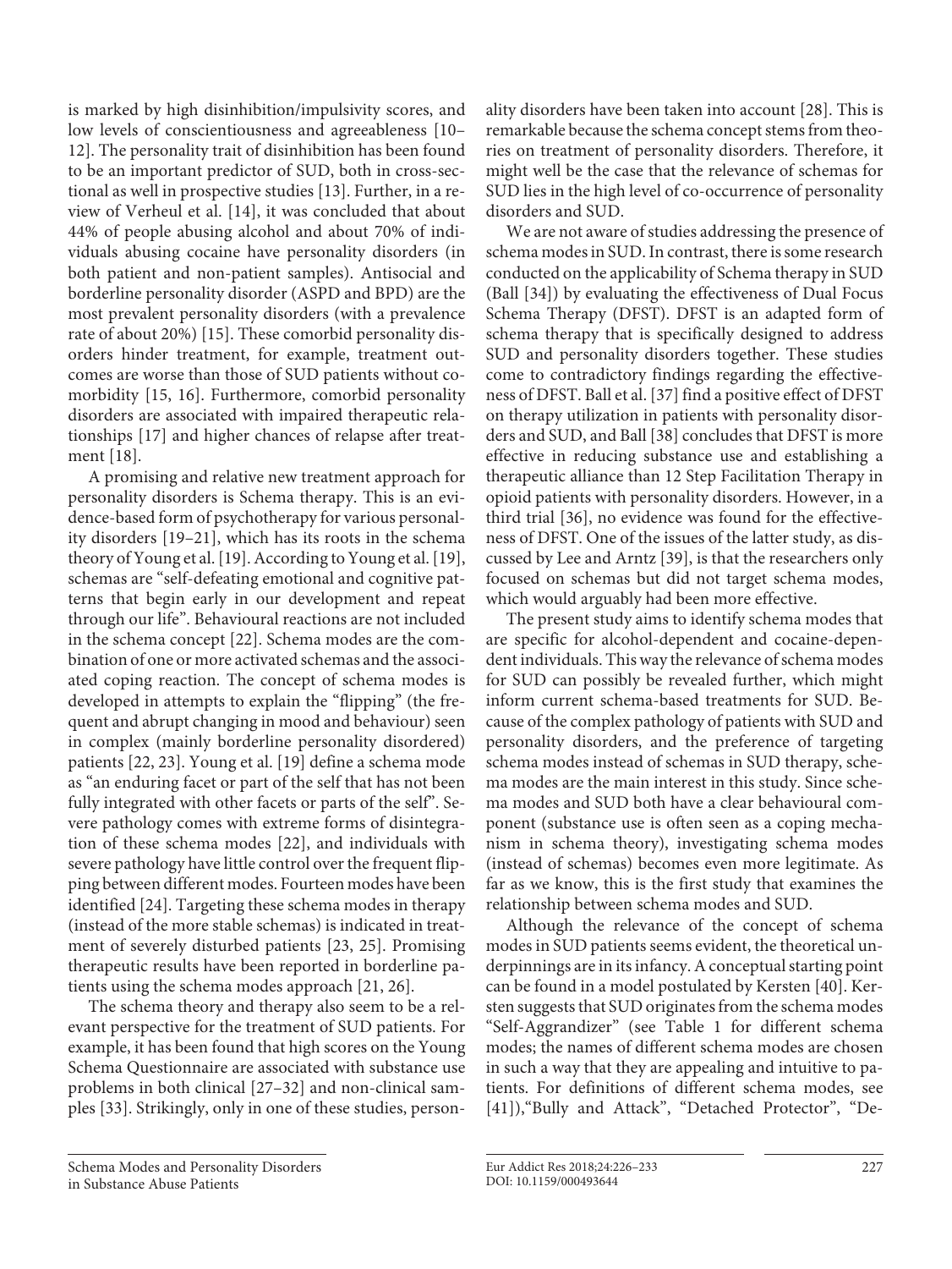is marked by high disinhibition/impulsivity scores, and low levels of conscientiousness and agreeableness [10– 12]. The personality trait of disinhibition has been found to be an important predictor of SUD, both in cross-sectional as well in prospective studies [13]. Further, in a review of Verheul et al. [14], it was concluded that about 44% of people abusing alcohol and about 70% of individuals abusing cocaine have personality disorders (in both patient and non-patient samples). Antisocial and borderline personality disorder (ASPD and BPD) are the most prevalent personality disorders (with a prevalence rate of about 20%) [15]. These comorbid personality disorders hinder treatment, for example, treatment outcomes are worse than those of SUD patients without comorbidity [15, 16]. Furthermore, comorbid personality disorders are associated with impaired therapeutic relationships [17] and higher chances of relapse after treatment [18].

A promising and relative new treatment approach for personality disorders is Schema therapy. This is an evidence-based form of psychotherapy for various personality disorders [19–21], which has its roots in the schema theory of Young et al. [19]. According to Young et al. [19], schemas are "self-defeating emotional and cognitive patterns that begin early in our development and repeat through our life". Behavioural reactions are not included in the schema concept [22]. Schema modes are the combination of one or more activated schemas and the associated coping reaction. The concept of schema modes is developed in attempts to explain the "flipping" (the frequent and abrupt changing in mood and behaviour) seen in complex (mainly borderline personality disordered) patients [22, 23]. Young et al. [19] define a schema mode as "an enduring facet or part of the self that has not been fully integrated with other facets or parts of the self". Severe pathology comes with extreme forms of disintegration of these schema modes [22], and individuals with severe pathology have little control over the frequent flipping between different modes. Fourteen modes have been identified [24]. Targeting these schema modes in therapy (instead of the more stable schemas) is indicated in treatment of severely disturbed patients [23, 25]. Promising therapeutic results have been reported in borderline patients using the schema modes approach [21, 26].

The schema theory and therapy also seem to be a relevant perspective for the treatment of SUD patients. For example, it has been found that high scores on the Young Schema Questionnaire are associated with substance use problems in both clinical [27–32] and non-clinical samples [33]. Strikingly, only in one of these studies, personality disorders have been taken into account [28]. This is remarkable because the schema concept stems from theories on treatment of personality disorders. Therefore, it might well be the case that the relevance of schemas for SUD lies in the high level of co-occurrence of personality disorders and SUD.

We are not aware of studies addressing the presence of schema modes in SUD. In contrast, there is some research conducted on the applicability of Schema therapy in SUD (Ball [34]) by evaluating the effectiveness of Dual Focus Schema Therapy (DFST). DFST is an adapted form of schema therapy that is specifically designed to address SUD and personality disorders together. These studies come to contradictory findings regarding the effectiveness of DFST. Ball et al. [37] find a positive effect of DFST on therapy utilization in patients with personality disorders and SUD, and Ball [38] concludes that DFST is more effective in reducing substance use and establishing a therapeutic alliance than 12 Step Facilitation Therapy in opioid patients with personality disorders. However, in a third trial [36], no evidence was found for the effectiveness of DFST. One of the issues of the latter study, as discussed by Lee and Arntz [39], is that the researchers only focused on schemas but did not target schema modes, which would arguably had been more effective.

The present study aims to identify schema modes that are specific for alcohol-dependent and cocaine-dependent individuals. This way the relevance of schema modes for SUD can possibly be revealed further, which might inform current schema-based treatments for SUD. Because of the complex pathology of patients with SUD and personality disorders, and the preference of targeting schema modes instead of schemas in SUD therapy, schema modes are the main interest in this study. Since schema modes and SUD both have a clear behavioural component (substance use is often seen as a coping mechanism in schema theory), investigating schema modes (instead of schemas) becomes even more legitimate. As far as we know, this is the first study that examines the relationship between schema modes and SUD.

Although the relevance of the concept of schema modes in SUD patients seems evident, the theoretical underpinnings are in its infancy. A conceptual starting point can be found in a model postulated by Kersten [40]. Kersten suggests that SUD originates from the schema modes "Self-Aggrandizer" (see Table 1 for different schema modes; the names of different schema modes are chosen in such a way that they are appealing and intuitive to patients. For definitions of different schema modes, see [41]),"Bully and Attack", "Detached Protector", "De-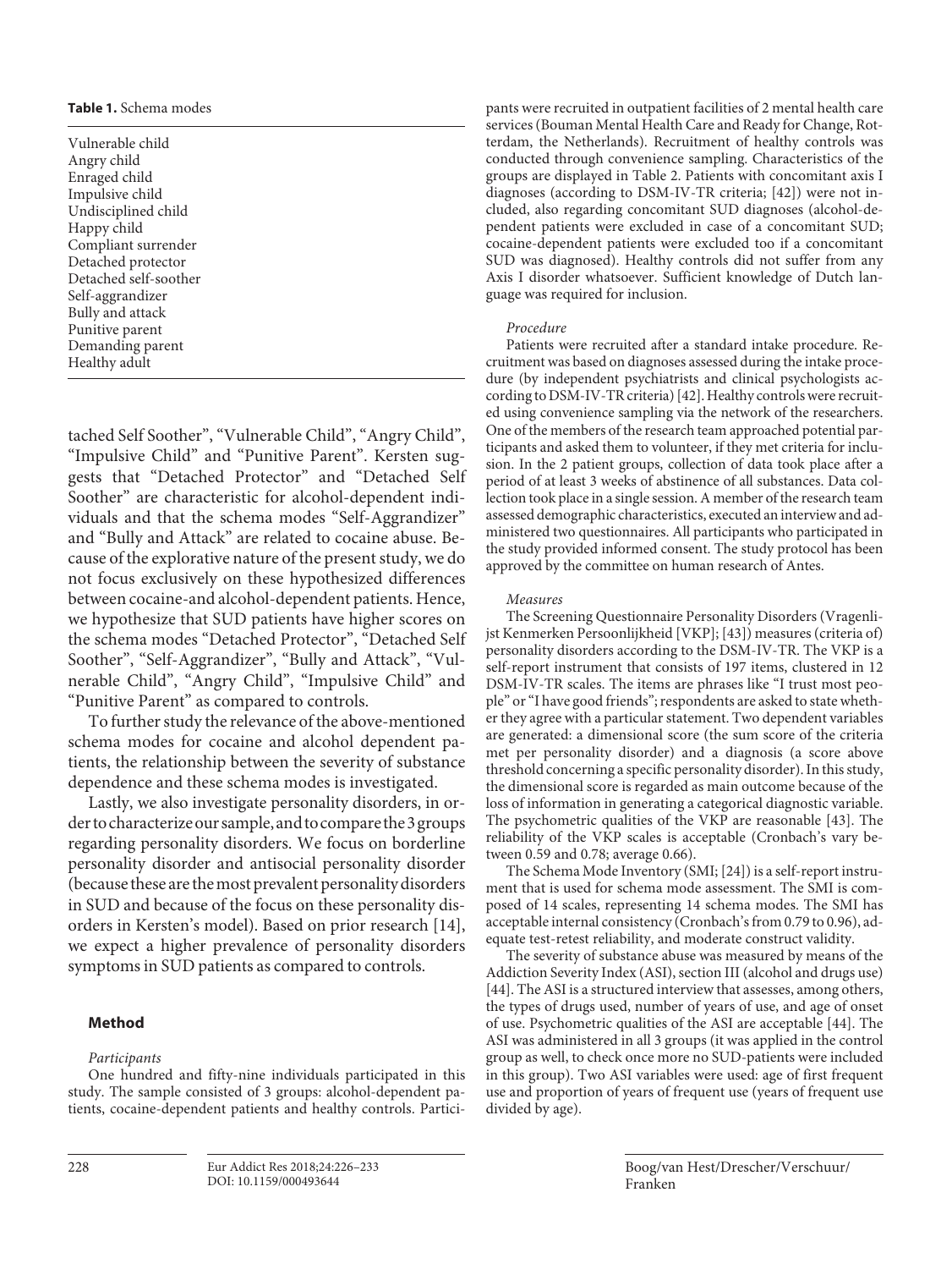# **Table 1.** Schema modes

Vulnerable child Angry child Enraged child Impulsive child Undisciplined child Happy child Compliant surrender Detached protector Detached self-soother Self-aggrandizer Bully and attack Punitive parent Demanding parent Healthy adult

tached Self Soother", "Vulnerable Child", "Angry Child", "Impulsive Child" and "Punitive Parent". Kersten suggests that "Detached Protector" and "Detached Self Soother" are characteristic for alcohol-dependent individuals and that the schema modes "Self-Aggrandizer" and "Bully and Attack" are related to cocaine abuse. Because of the explorative nature of the present study, we do not focus exclusively on these hypothesized differences between cocaine-and alcohol-dependent patients. Hence, we hypothesize that SUD patients have higher scores on the schema modes "Detached Protector", "Detached Self Soother", "Self-Aggrandizer", "Bully and Attack", "Vulnerable Child", "Angry Child", "Impulsive Child" and "Punitive Parent" as compared to controls.

To further study the relevance of the above-mentioned schema modes for cocaine and alcohol dependent patients, the relationship between the severity of substance dependence and these schema modes is investigated.

Lastly, we also investigate personality disorders, in order to characterize our sample, and to compare the 3 groups regarding personality disorders. We focus on borderline personality disorder and antisocial personality disorder (because these are the most prevalent personality disorders in SUD and because of the focus on these personality disorders in Kersten's model). Based on prior research [14], we expect a higher prevalence of personality disorders symptoms in SUD patients as compared to controls.

# **Method**

*Participants*

One hundred and fifty-nine individuals participated in this study. The sample consisted of 3 groups: alcohol-dependent patients, cocaine-dependent patients and healthy controls. Participants were recruited in outpatient facilities of 2 mental health care services (Bouman Mental Health Care and Ready for Change, Rotterdam, the Netherlands). Recruitment of healthy controls was conducted through convenience sampling. Characteristics of the groups are displayed in Table 2. Patients with concomitant axis I diagnoses (according to DSM-IV-TR criteria; [42]) were not included, also regarding concomitant SUD diagnoses (alcohol-dependent patients were excluded in case of a concomitant SUD; cocaine-dependent patients were excluded too if a concomitant SUD was diagnosed). Healthy controls did not suffer from any Axis I disorder whatsoever. Sufficient knowledge of Dutch language was required for inclusion.

## *Procedure*

Patients were recruited after a standard intake procedure. Recruitment was based on diagnoses assessed during the intake procedure (by independent psychiatrists and clinical psychologists according to DSM-IV-TR criteria) [42]. Healthy controls were recruited using convenience sampling via the network of the researchers. One of the members of the research team approached potential participants and asked them to volunteer, if they met criteria for inclusion. In the 2 patient groups, collection of data took place after a period of at least 3 weeks of abstinence of all substances. Data collection took place in a single session. A member of the research team assessed demographic characteristics, executed an interview and administered two questionnaires. All participants who participated in the study provided informed consent. The study protocol has been approved by the committee on human research of Antes.

#### *Measures*

The Screening Questionnaire Personality Disorders (Vragenlijst Kenmerken Persoonlijkheid [VKP]; [43]) measures (criteria of) personality disorders according to the DSM-IV-TR. The VKP is a self-report instrument that consists of 197 items, clustered in 12 DSM-IV-TR scales. The items are phrases like "I trust most people" or "I have good friends"; respondents are asked to state whether they agree with a particular statement. Two dependent variables are generated: a dimensional score (the sum score of the criteria met per personality disorder) and a diagnosis (a score above threshold concerning a specific personality disorder). In this study, the dimensional score is regarded as main outcome because of the loss of information in generating a categorical diagnostic variable. The psychometric qualities of the VKP are reasonable [43]. The reliability of the VKP scales is acceptable (Cronbach's vary between 0.59 and 0.78; average 0.66).

The Schema Mode Inventory (SMI; [24]) is a self-report instrument that is used for schema mode assessment. The SMI is composed of 14 scales, representing 14 schema modes. The SMI has acceptable internal consistency (Cronbach's from 0.79 to 0.96), adequate test-retest reliability, and moderate construct validity.

The severity of substance abuse was measured by means of the Addiction Severity Index (ASI), section III (alcohol and drugs use) [44]. The ASI is a structured interview that assesses, among others, the types of drugs used, number of years of use, and age of onset of use. Psychometric qualities of the ASI are acceptable [44]. The ASI was administered in all 3 groups (it was applied in the control group as well, to check once more no SUD-patients were included in this group). Two ASI variables were used: age of first frequent use and proportion of years of frequent use (years of frequent use divided by age).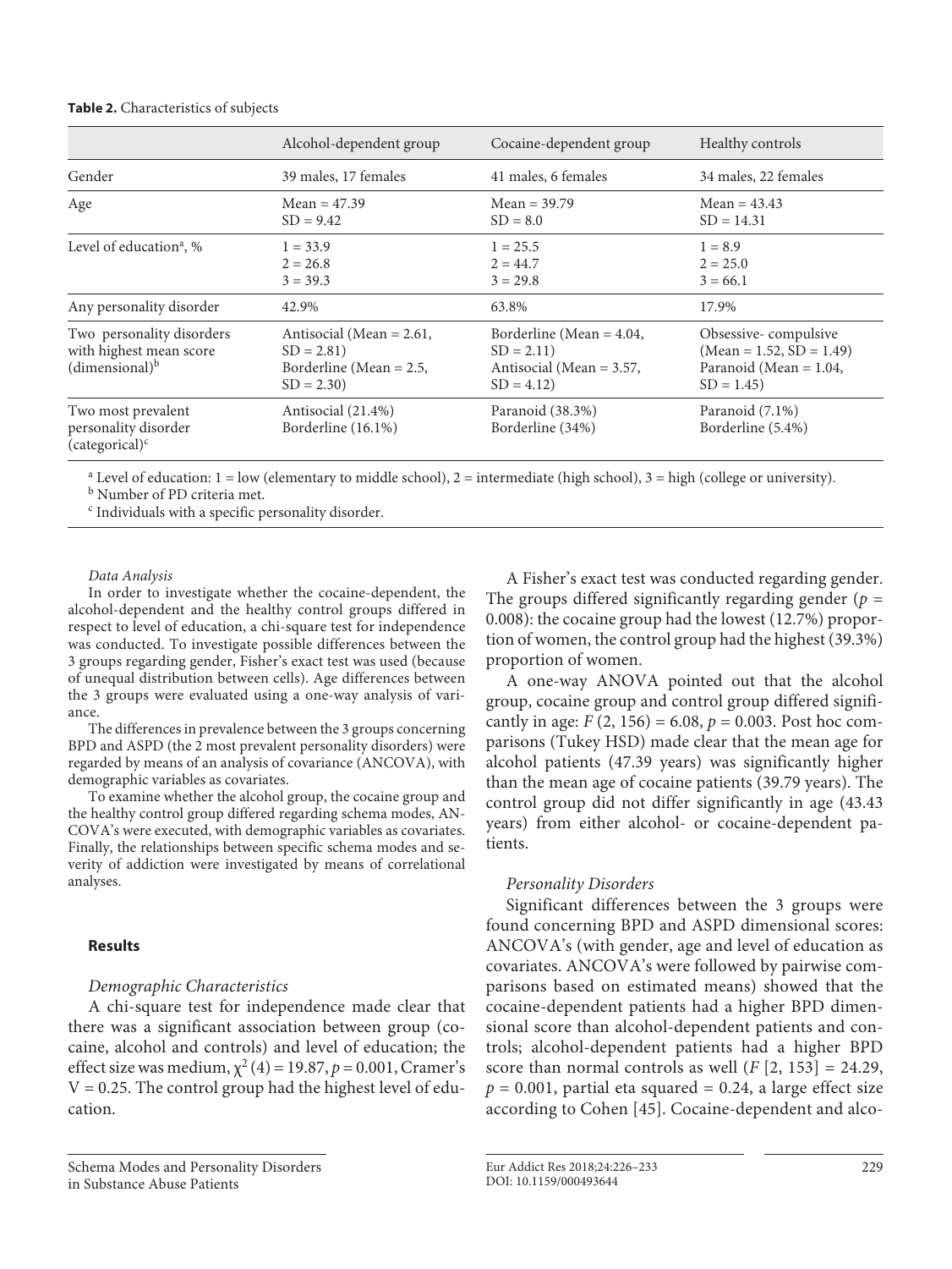| <b>Table 2.</b> Characteristics of subjects |  |
|---------------------------------------------|--|
|---------------------------------------------|--|

|                                                                           | Alcohol-dependent group                                                                 | Cocaine-dependent group                                                                | Healthy controls                                                                               |
|---------------------------------------------------------------------------|-----------------------------------------------------------------------------------------|----------------------------------------------------------------------------------------|------------------------------------------------------------------------------------------------|
| Gender                                                                    | 39 males, 17 females                                                                    | 41 males, 6 females                                                                    | 34 males, 22 females                                                                           |
| Age                                                                       | Mean = $47.39$<br>$SD = 9.42$                                                           | Mean = $39.79$<br>$SD = 8.0$                                                           | Mean = $43.43$<br>$SD = 14.31$                                                                 |
| Level of education <sup>a</sup> , %                                       | $1 = 33.9$<br>$2 = 26.8$<br>$3 = 39.3$                                                  | $1 = 25.5$<br>$2 = 44.7$<br>$3 = 29.8$                                                 | $1 = 8.9$<br>$2 = 25.0$<br>$3 = 66.1$                                                          |
| Any personality disorder                                                  | 42.9%                                                                                   | 63.8%                                                                                  | 17.9%                                                                                          |
| Two personality disorders<br>with highest mean score<br>$(dimensional)^b$ | Antisocial (Mean $= 2.61$ ,<br>$SD = 2.81$<br>Borderline (Mean $= 2.5$ ,<br>$SD = 2.30$ | Borderline (Mean $=$ 4.04,<br>$SD = 2.11$<br>Antisocial (Mean $=$ 3.57,<br>$SD = 4.12$ | Obsessive-compulsive<br>$(Mean = 1.52, SD = 1.49)$<br>Paranoid (Mean $= 1.04$ ,<br>$SD = 1.45$ |
| Two most prevalent<br>personality disorder<br>$(categorical)^c$           | Antisocial (21.4%)<br>Borderline (16.1%)                                                | Paranoid (38.3%)<br>Borderline (34%)                                                   | Paranoid (7.1%)<br>Borderline (5.4%)                                                           |

<sup>a</sup> Level of education:  $1 =$ low (elementary to middle school),  $2 =$  intermediate (high school),  $3 =$  high (college or university).

b Number of PD criteria met.

c Individuals with a specific personality disorder.

## *Data Analysis*

In order to investigate whether the cocaine-dependent, the alcohol-dependent and the healthy control groups differed in respect to level of education, a chi-square test for independence was conducted. To investigate possible differences between the 3 groups regarding gender, Fisher's exact test was used (because of unequal distribution between cells). Age differences between the 3 groups were evaluated using a one-way analysis of variance.

The differences in prevalence between the 3 groups concerning BPD and ASPD (the 2 most prevalent personality disorders) were regarded by means of an analysis of covariance (ANCOVA), with demographic variables as covariates.

To examine whether the alcohol group, the cocaine group and the healthy control group differed regarding schema modes, AN-COVA's were executed, with demographic variables as covariates. Finally, the relationships between specific schema modes and severity of addiction were investigated by means of correlational analyses.

# **Results**

# *Demographic Characteristics*

A chi-square test for independence made clear that there was a significant association between group (cocaine, alcohol and controls) and level of education; the effect size was medium,  $\chi^2(4) = 19.87$ ,  $p = 0.001$ , Cramer's  $V = 0.25$ . The control group had the highest level of education.

A Fisher's exact test was conducted regarding gender. The groups differed significantly regarding gender ( $p =$ 0.008): the cocaine group had the lowest (12.7%) proportion of women, the control group had the highest (39.3%) proportion of women.

A one-way ANOVA pointed out that the alcohol group, cocaine group and control group differed significantly in age:  $F(2, 156) = 6.08$ ,  $p = 0.003$ . Post hoc comparisons (Tukey HSD) made clear that the mean age for alcohol patients (47.39 years) was significantly higher than the mean age of cocaine patients (39.79 years). The control group did not differ significantly in age (43.43 years) from either alcohol- or cocaine-dependent patients.

# *Personality Disorders*

Significant differences between the 3 groups were found concerning BPD and ASPD dimensional scores: ANCOVA's (with gender, age and level of education as covariates. ANCOVA's were followed by pairwise comparisons based on estimated means) showed that the cocaine-dependent patients had a higher BPD dimensional score than alcohol-dependent patients and controls; alcohol-dependent patients had a higher BPD score than normal controls as well  $(F [2, 153] = 24.29,$  $p = 0.001$ , partial eta squared = 0.24, a large effect size according to Cohen [45]. Cocaine-dependent and alco-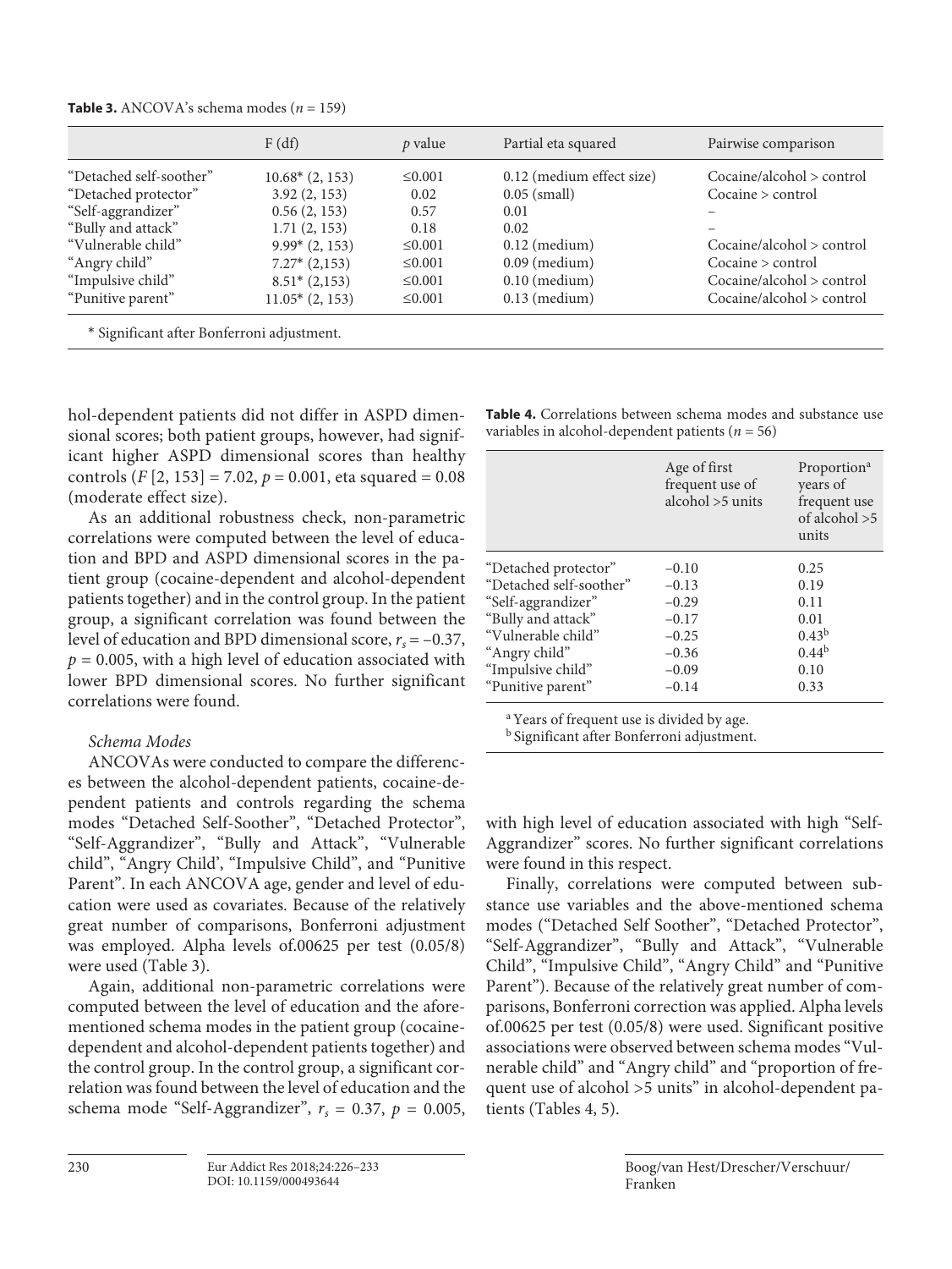|                         | F(df)            | $p$ value    | Partial eta squared       | Pairwise comparison       |
|-------------------------|------------------|--------------|---------------------------|---------------------------|
| "Detached self-soother" | $10.68*(2, 153)$ | $\leq 0.001$ | 0.12 (medium effect size) | Cocaine/alcohol > control |
| "Detached protector"    | 3.92(2, 153)     | 0.02         | $0.05$ (small)            | Cocaine > control         |
| "Self-aggrandizer"      | 0.56(2, 153)     | 0.57         | 0.01                      |                           |
| "Bully and attack"      | 1.71(2, 153)     | 0.18         | 0.02                      |                           |
| "Vulnerable child"      | $9.99*(2, 153)$  | $\leq 0.001$ | $0.12$ (medium)           | Cocaine/alcohol > control |
| "Angry child"           | $7.27*(2,153)$   | $\leq 0.001$ | $0.09$ (medium)           | Cocaine > control         |
| "Impulsive child"       | $8.51*(2,153)$   | $\leq 0.001$ | $0.10$ (medium)           | Cocaine/alcohol > control |
| "Punitive parent"       | $11.05*(2, 153)$ | $\leq 0.001$ | $0.13$ (medium)           | Cocaine/alcohol > control |

**Table 3.** ANCOVA's schema modes  $(n = 159)$ 

\* Significant after Bonferroni adjustment.

hol-dependent patients did not differ in ASPD dimensional scores; both patient groups, however, had significant higher ASPD dimensional scores than healthy controls  $(F [2, 153] = 7.02, p = 0.001$ , eta squared = 0.08 (moderate effect size).

As an additional robustness check, non-parametric correlations were computed between the level of education and BPD and ASPD dimensional scores in the patient group (cocaine-dependent and alcohol-dependent patients together) and in the control group. In the patient group, a significant correlation was found between the level of education and BPD dimensional score,  $r_s = -0.37$ ,  $p = 0.005$ , with a high level of education associated with lower BPD dimensional scores. No further significant correlations were found.

# *Schema Modes*

ANCOVAs were conducted to compare the differences between the alcohol-dependent patients, cocaine-dependent patients and controls regarding the schema modes "Detached Self-Soother", "Detached Protector", "Self-Aggrandizer", "Bully and Attack", "Vulnerable child", "Angry Child', "Impulsive Child", and "Punitive Parent". In each ANCOVA age, gender and level of education were used as covariates. Because of the relatively great number of comparisons, Bonferroni adjustment was employed. Alpha levels of.00625 per test (0.05/8) were used (Table 3).

Again, additional non-parametric correlations were computed between the level of education and the aforementioned schema modes in the patient group (cocainedependent and alcohol-dependent patients together) and the control group. In the control group, a significant correlation was found between the level of education and the schema mode "Self-Aggrandizer",  $r_s = 0.37$ ,  $p = 0.005$ , **Table 4.** Correlations between schema modes and substance use variables in alcohol-dependent patients ( $n = 56$ )

|                         | Age of first<br>frequent use of<br>alcohol $>5$ units | Proportion <sup>a</sup><br>years of<br>frequent use<br>of alcohol $>5$<br>units |
|-------------------------|-------------------------------------------------------|---------------------------------------------------------------------------------|
| "Detached protector"    | $-0.10$                                               | 0.25                                                                            |
| "Detached self-soother" | $-0.13$                                               | 0.19                                                                            |
| "Self-aggrandizer"      | $-0.29$                                               | 0.11                                                                            |
| "Bully and attack"      | $-0.17$                                               | 0.01                                                                            |
| "Vulnerable child"      | $-0.25$                                               | $0.43^b$                                                                        |
| "Angry child"           | $-0.36$                                               | $0.44^{b}$                                                                      |
| "Impulsive child"       | $-0.09$                                               | 0.10                                                                            |
| "Punitive parent"       | $-0.14$                                               | 0.33                                                                            |

<sup>a</sup> Years of frequent use is divided by age.

b Significant after Bonferroni adjustment.

with high level of education associated with high "Self-Aggrandizer" scores. No further significant correlations were found in this respect.

Finally, correlations were computed between substance use variables and the above-mentioned schema modes ("Detached Self Soother", "Detached Protector", "Self-Aggrandizer", "Bully and Attack", "Vulnerable Child", "Impulsive Child", "Angry Child" and "Punitive Parent"). Because of the relatively great number of comparisons, Bonferroni correction was applied. Alpha levels of.00625 per test (0.05/8) were used. Significant positive associations were observed between schema modes "Vulnerable child" and "Angry child" and "proportion of frequent use of alcohol >5 units" in alcohol-dependent patients (Tables 4, 5).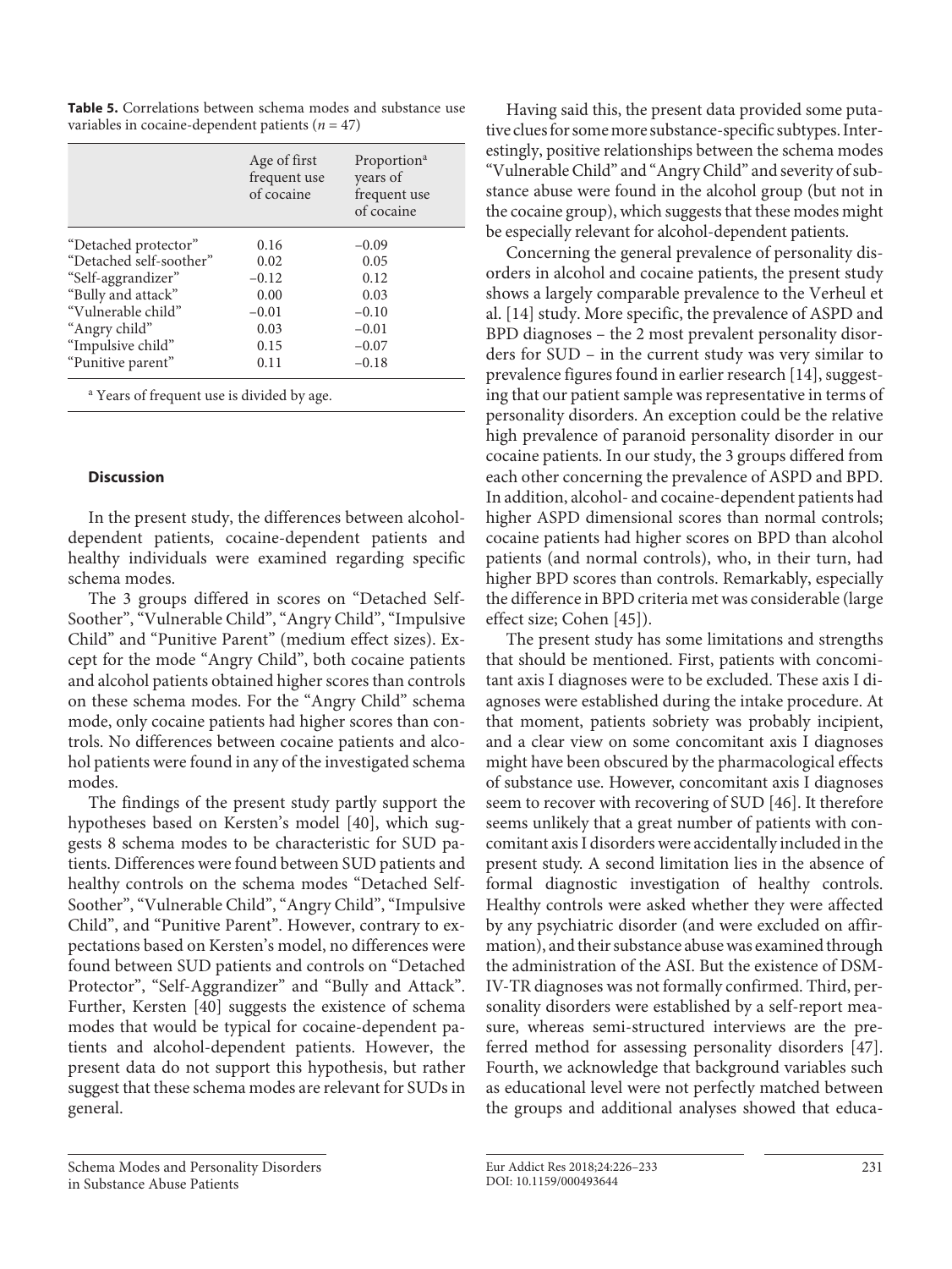**Table 5.** Correlations between schema modes and substance use variables in cocaine-dependent patients  $(n = 47)$ 

|                         | Age of first<br>frequent use<br>of cocaine | Proportion <sup>a</sup><br>years of<br>frequent use<br>of cocaine |
|-------------------------|--------------------------------------------|-------------------------------------------------------------------|
| "Detached protector"    | 0.16                                       | $-0.09$                                                           |
| "Detached self-soother" | 0.02                                       | 0.05                                                              |
| "Self-aggrandizer"      | $-0.12$                                    | 0.12                                                              |
| "Bully and attack"      | 0.00                                       | 0.03                                                              |
| "Vulnerable child"      | $-0.01$                                    | $-0.10$                                                           |
| "Angry child"           | 0.03                                       | $-0.01$                                                           |
| "Impulsive child"       | 0.15                                       | $-0.07$                                                           |
| "Punitive parent"       | 0.11                                       | $-0.18$                                                           |

<sup>a</sup> Years of frequent use is divided by age.

# **Discussion**

In the present study, the differences between alcoholdependent patients, cocaine-dependent patients and healthy individuals were examined regarding specific schema modes.

The 3 groups differed in scores on "Detached Self-Soother", "Vulnerable Child", "Angry Child", "Impulsive Child" and "Punitive Parent" (medium effect sizes). Except for the mode "Angry Child", both cocaine patients and alcohol patients obtained higher scores than controls on these schema modes. For the "Angry Child" schema mode, only cocaine patients had higher scores than controls. No differences between cocaine patients and alcohol patients were found in any of the investigated schema modes.

The findings of the present study partly support the hypotheses based on Kersten's model [40], which suggests 8 schema modes to be characteristic for SUD patients. Differences were found between SUD patients and healthy controls on the schema modes "Detached Self-Soother", "Vulnerable Child", "Angry Child", "Impulsive Child", and "Punitive Parent". However, contrary to expectations based on Kersten's model, no differences were found between SUD patients and controls on "Detached Protector", "Self-Aggrandizer" and "Bully and Attack". Further, Kersten [40] suggests the existence of schema modes that would be typical for cocaine-dependent patients and alcohol-dependent patients. However, the present data do not support this hypothesis, but rather suggest that these schema modes are relevant for SUDs in general.

Having said this, the present data provided some putative clues for some more substance-specific subtypes. Interestingly, positive relationships between the schema modes "Vulnerable Child" and "Angry Child" and severity of substance abuse were found in the alcohol group (but not in the cocaine group), which suggests that these modes might be especially relevant for alcohol-dependent patients.

Concerning the general prevalence of personality disorders in alcohol and cocaine patients, the present study shows a largely comparable prevalence to the Verheul et al. [14] study. More specific, the prevalence of ASPD and BPD diagnoses – the 2 most prevalent personality disorders for SUD – in the current study was very similar to prevalence figures found in earlier research [14], suggesting that our patient sample was representative in terms of personality disorders. An exception could be the relative high prevalence of paranoid personality disorder in our cocaine patients. In our study, the 3 groups differed from each other concerning the prevalence of ASPD and BPD. In addition, alcohol- and cocaine-dependent patients had higher ASPD dimensional scores than normal controls; cocaine patients had higher scores on BPD than alcohol patients (and normal controls), who, in their turn, had higher BPD scores than controls. Remarkably, especially the difference in BPD criteria met was considerable (large effect size; Cohen [45]).

The present study has some limitations and strengths that should be mentioned. First, patients with concomitant axis I diagnoses were to be excluded. These axis I diagnoses were established during the intake procedure. At that moment, patients sobriety was probably incipient, and a clear view on some concomitant axis I diagnoses might have been obscured by the pharmacological effects of substance use. However, concomitant axis I diagnoses seem to recover with recovering of SUD [46]. It therefore seems unlikely that a great number of patients with concomitant axis I disorders were accidentally included in the present study. A second limitation lies in the absence of formal diagnostic investigation of healthy controls. Healthy controls were asked whether they were affected by any psychiatric disorder (and were excluded on affirmation), and their substance abuse was examined through the administration of the ASI. But the existence of DSM-IV-TR diagnoses was not formally confirmed. Third, personality disorders were established by a self-report measure, whereas semi-structured interviews are the preferred method for assessing personality disorders [47]. Fourth, we acknowledge that background variables such as educational level were not perfectly matched between the groups and additional analyses showed that educa-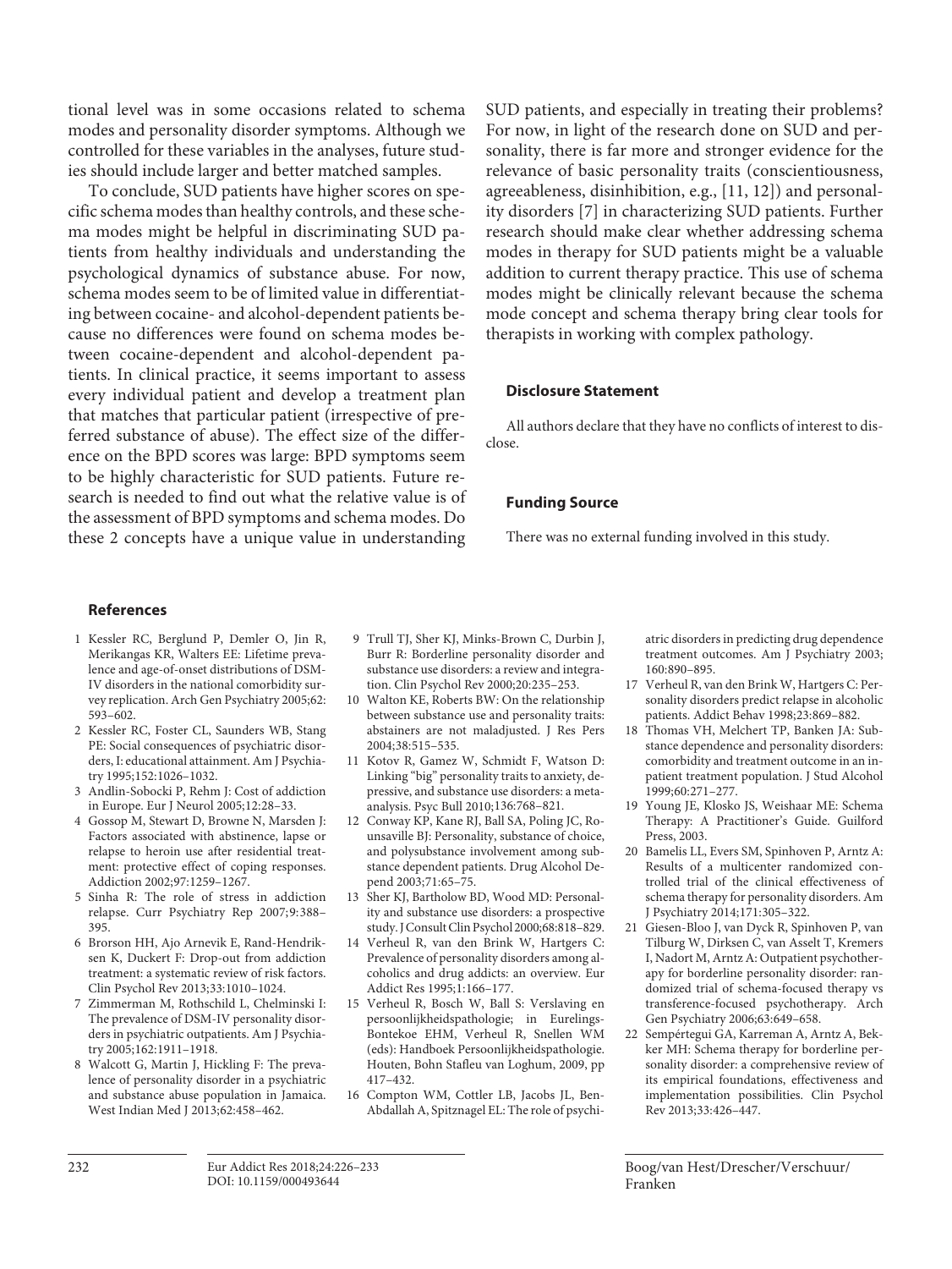tional level was in some occasions related to schema modes and personality disorder symptoms. Although we controlled for these variables in the analyses, future studies should include larger and better matched samples.

To conclude, SUD patients have higher scores on specific schema modes than healthy controls, and these schema modes might be helpful in discriminating SUD patients from healthy individuals and understanding the psychological dynamics of substance abuse. For now, schema modes seem to be of limited value in differentiating between cocaine- and alcohol-dependent patients because no differences were found on schema modes between cocaine-dependent and alcohol-dependent patients. In clinical practice, it seems important to assess every individual patient and develop a treatment plan that matches that particular patient (irrespective of preferred substance of abuse). The effect size of the difference on the BPD scores was large: BPD symptoms seem to be highly characteristic for SUD patients. Future research is needed to find out what the relative value is of the assessment of BPD symptoms and schema modes. Do these 2 concepts have a unique value in understanding SUD patients, and especially in treating their problems? For now, in light of the research done on SUD and personality, there is far more and stronger evidence for the relevance of basic personality traits (conscientiousness, agreeableness, disinhibition, e.g., [11, 12]) and personality disorders [7] in characterizing SUD patients. Further research should make clear whether addressing schema modes in therapy for SUD patients might be a valuable addition to current therapy practice. This use of schema modes might be clinically relevant because the schema mode concept and schema therapy bring clear tools for therapists in working with complex pathology.

# **Disclosure Statement**

All authors declare that they have no conflicts of interest to disclose.

# **Funding Source**

There was no external funding involved in this study.

## **References**

- 1 Kessler RC, Berglund P, Demler O, Jin R, Merikangas KR, Walters EE: Lifetime prevalence and age-of-onset distributions of DSM-IV disorders in the national comorbidity survey replication. Arch Gen Psychiatry 2005;62: 593–602.
- 2 Kessler RC, Foster CL, Saunders WB, Stang PE: Social consequences of psychiatric disorders, I: educational attainment. Am J Psychiatry 1995;152:1026–1032.
- 3 Andlin-Sobocki P, Rehm J: Cost of addiction in Europe. Eur J Neurol 2005;12:28–33.
- 4 Gossop M, Stewart D, Browne N, Marsden J: Factors associated with abstinence, lapse or relapse to heroin use after residential treatment: protective effect of coping responses. Addiction 2002;97:1259–1267.
- 5 Sinha R: The role of stress in addiction relapse. Curr Psychiatry Rep 2007;9:388– 395.
- 6 Brorson HH, Ajo Arnevik E, Rand-Hendriksen K, Duckert F: Drop-out from addiction treatment: a systematic review of risk factors. Clin Psychol Rev 2013;33:1010–1024.
- 7 Zimmerman M, Rothschild L, Chelminski I: The prevalence of DSM-IV personality disorders in psychiatric outpatients. Am J Psychiatry 2005;162:1911–1918.
- 8 Walcott G, Martin J, Hickling F: The prevalence of personality disorder in a psychiatric and substance abuse population in Jamaica. West Indian Med J 2013;62:458–462.
- 9 Trull TJ, Sher KJ, Minks-Brown C, Durbin J, Burr R: Borderline personality disorder and substance use disorders: a review and integration. Clin Psychol Rev 2000;20:235–253.
- 10 Walton KE, Roberts BW: On the relationship between substance use and personality traits: abstainers are not maladjusted. J Res Pers 2004;38:515–535.
- 11 Kotov R, Gamez W, Schmidt F, Watson D: Linking "big" personality traits to anxiety, depressive, and substance use disorders: a metaanalysis. Psyc Bull 2010;136:768–821.
- 12 Conway KP, Kane RJ, Ball SA, Poling JC, Rounsaville BJ: Personality, substance of choice, and polysubstance involvement among substance dependent patients. Drug Alcohol Depend 2003;71:65–75.
- 13 Sher KJ, Bartholow BD, Wood MD: Personality and substance use disorders: a prospective study. J Consult Clin Psychol 2000;68:818–829.
- 14 Verheul R, van den Brink W, Hartgers C: Prevalence of personality disorders among alcoholics and drug addicts: an overview. Eur Addict Res 1995;1:166–177.
- 15 Verheul R, Bosch W, Ball S: Verslaving en persoonlijkheidspathologie; in Eurelings-Bontekoe EHM, Verheul R, Snellen WM (eds): Handboek Persoonlijkheidspathologie. Houten, Bohn Stafleu van Loghum, 2009, pp 417–432.
- 16 Compton WM, Cottler LB, Jacobs JL, Ben-Abdallah A, Spitznagel EL: The role of psychi-

atric disorders in predicting drug dependence treatment outcomes. Am J Psychiatry 2003; 160:890–895.

- 17 Verheul R, van den Brink W, Hartgers C: Personality disorders predict relapse in alcoholic patients. Addict Behav 1998;23:869–882.
- 18 Thomas VH, Melchert TP, Banken JA: Substance dependence and personality disorders: comorbidity and treatment outcome in an inpatient treatment population. J Stud Alcohol 1999;60:271–277.
- 19 Young JE, Klosko JS, Weishaar ME: Schema Therapy: A Practitioner's Guide. Guilford Press, 2003.
- 20 Bamelis LL, Evers SM, Spinhoven P, Arntz A: Results of a multicenter randomized controlled trial of the clinical effectiveness of schema therapy for personality disorders. Am J Psychiatry 2014;171:305–322.
- 21 Giesen-Bloo J, van Dyck R, Spinhoven P, van Tilburg W, Dirksen C, van Asselt T, Kremers I, Nadort M, Arntz A: Outpatient psychotherapy for borderline personality disorder: randomized trial of schema-focused therapy vs transference-focused psychotherapy. Arch Gen Psychiatry 2006;63:649–658.
- 22 Sempértegui GA, Karreman A, Arntz A, Bekker MH: Schema therapy for borderline personality disorder: a comprehensive review of its empirical foundations, effectiveness and implementation possibilities. Clin Psychol Rev 2013;33:426–447.